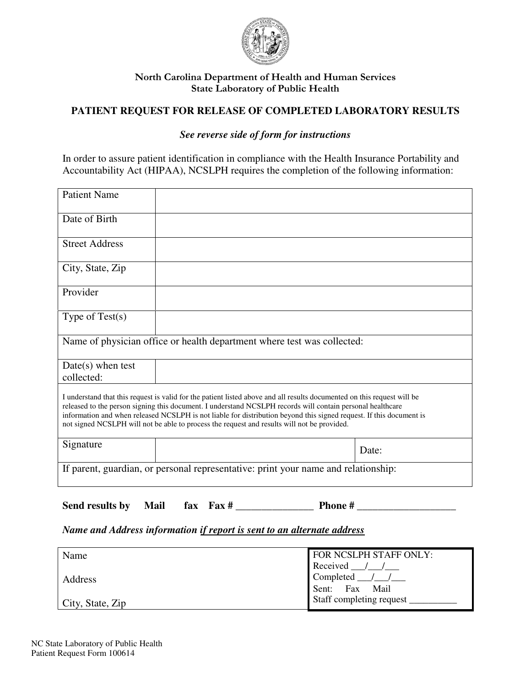

### North Carolina Department of Health and Human Services State Laboratory of Public Health

# **PATIENT REQUEST FOR RELEASE OF COMPLETED LABORATORY RESULTS**

### *See reverse side of form for instructions*

In order to assure patient identification in compliance with the Health Insurance Portability and Accountability Act (HIPAA), NCSLPH requires the completion of the following information:

| <b>Patient Name</b>                                                                                                                                                                                                                                                                                                                                                                                                                                         |  |       |  |
|-------------------------------------------------------------------------------------------------------------------------------------------------------------------------------------------------------------------------------------------------------------------------------------------------------------------------------------------------------------------------------------------------------------------------------------------------------------|--|-------|--|
| Date of Birth                                                                                                                                                                                                                                                                                                                                                                                                                                               |  |       |  |
| <b>Street Address</b>                                                                                                                                                                                                                                                                                                                                                                                                                                       |  |       |  |
| City, State, Zip                                                                                                                                                                                                                                                                                                                                                                                                                                            |  |       |  |
| Provider                                                                                                                                                                                                                                                                                                                                                                                                                                                    |  |       |  |
| Type of $Test(s)$                                                                                                                                                                                                                                                                                                                                                                                                                                           |  |       |  |
| Name of physician office or health department where test was collected:                                                                                                                                                                                                                                                                                                                                                                                     |  |       |  |
| $Date(s)$ when test<br>collected:                                                                                                                                                                                                                                                                                                                                                                                                                           |  |       |  |
| I understand that this request is valid for the patient listed above and all results documented on this request will be<br>released to the person signing this document. I understand NCSLPH records will contain personal healthcare<br>information and when released NCSLPH is not liable for distribution beyond this signed request. If this document is<br>not signed NCSLPH will not be able to process the request and results will not be provided. |  |       |  |
| Signature                                                                                                                                                                                                                                                                                                                                                                                                                                                   |  | Date: |  |
| If parent, guardian, or personal representative: print your name and relationship:                                                                                                                                                                                                                                                                                                                                                                          |  |       |  |

Send results by **Mail**  $\alpha$  **fax**  $\alpha$  **Fax # Phone #** 

#### *Name and Address information if report is sent to an alternate address*

| Name                     | FOR NCSLPH STAFF ONLY:         |
|--------------------------|--------------------------------|
|                          | Received $\_\_\_\_\_\_\_\_\_\$ |
| <b>Address</b>           | Completed $\_\/\_\$            |
|                          | Sent: Fax Mail                 |
| $\vert$ City, State, Zip | Staff completing request       |